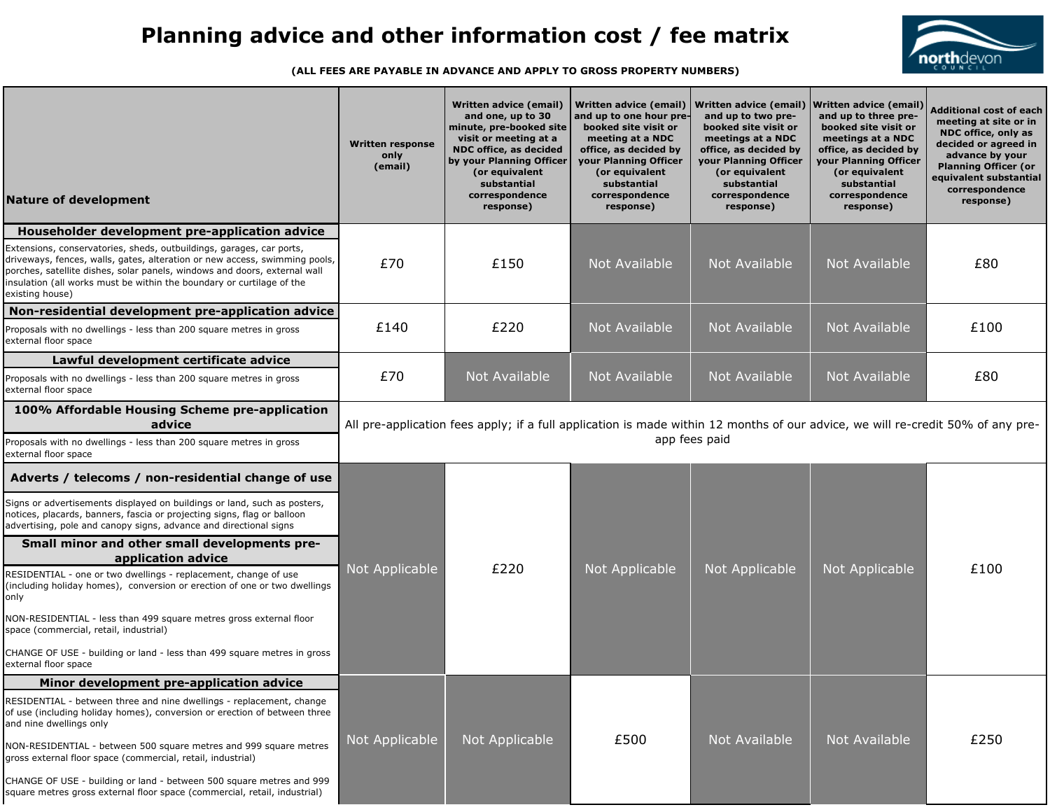| <b>Nature of development</b>                                                                                                                                                                                                                                                                                                | <b>Written response</b><br>only<br>(email)                                                                                                       | <b>Written advice (email)</b><br>and one, up to 30<br>minute, pre-booked site<br>visit or meeting at a<br><b>NDC office, as decided</b><br>by your Planning Officer<br>(or equivalent<br>substantial<br>correspondence<br>response) | <b>Written advice (email)</b><br>and up to one hour pre-<br>booked site visit or<br>meeting at a NDC<br>office, as decided by<br>your Planning Officer<br>(or equivalent<br>substantial<br>correspondence<br>response) | <b>Written advice (email)</b><br>and up to two pre-<br>booked site visit or<br>meetings at a NDC<br>office, as decided by<br>your Planning Officer<br>(or equivalent<br>substantial<br>correspondence<br>response) | <b>Written advice (email)</b><br>and up to three pre-<br>booked site visit or<br>meetings at a NDC<br>office, as decided by<br>your Planning Officer<br>(or equivalent<br>substantial<br>correspondence<br>response) | <b>Additional cost of each</b><br>meeting at site or in<br><b>NDC office, only as</b><br>decided or agreed in<br>advance by your<br><b>Planning Officer (or</b><br>equivalent substantial<br>correspondence<br>response) |  |
|-----------------------------------------------------------------------------------------------------------------------------------------------------------------------------------------------------------------------------------------------------------------------------------------------------------------------------|--------------------------------------------------------------------------------------------------------------------------------------------------|-------------------------------------------------------------------------------------------------------------------------------------------------------------------------------------------------------------------------------------|------------------------------------------------------------------------------------------------------------------------------------------------------------------------------------------------------------------------|--------------------------------------------------------------------------------------------------------------------------------------------------------------------------------------------------------------------|----------------------------------------------------------------------------------------------------------------------------------------------------------------------------------------------------------------------|--------------------------------------------------------------------------------------------------------------------------------------------------------------------------------------------------------------------------|--|
| Householder development pre-application advice                                                                                                                                                                                                                                                                              |                                                                                                                                                  |                                                                                                                                                                                                                                     |                                                                                                                                                                                                                        |                                                                                                                                                                                                                    |                                                                                                                                                                                                                      |                                                                                                                                                                                                                          |  |
| Extensions, conservatories, sheds, outbuildings, garages, car ports,<br>driveways, fences, walls, gates, alteration or new access, swimming pools,<br>porches, satellite dishes, solar panels, windows and doors, external wall<br>insulation (all works must be within the boundary or curtilage of the<br>existing house) | £70                                                                                                                                              | £150                                                                                                                                                                                                                                | Not Available                                                                                                                                                                                                          | Not Available                                                                                                                                                                                                      | Not Available                                                                                                                                                                                                        | £80                                                                                                                                                                                                                      |  |
| Non-residential development pre-application advice                                                                                                                                                                                                                                                                          |                                                                                                                                                  |                                                                                                                                                                                                                                     |                                                                                                                                                                                                                        |                                                                                                                                                                                                                    |                                                                                                                                                                                                                      |                                                                                                                                                                                                                          |  |
| Proposals with no dwellings - less than 200 square metres in gross<br>external floor space                                                                                                                                                                                                                                  | £140                                                                                                                                             | £220                                                                                                                                                                                                                                | Not Available                                                                                                                                                                                                          | Not Available                                                                                                                                                                                                      | Not Available                                                                                                                                                                                                        | £100                                                                                                                                                                                                                     |  |
| Lawful development certificate advice                                                                                                                                                                                                                                                                                       |                                                                                                                                                  |                                                                                                                                                                                                                                     |                                                                                                                                                                                                                        |                                                                                                                                                                                                                    |                                                                                                                                                                                                                      |                                                                                                                                                                                                                          |  |
| Proposals with no dwellings - less than 200 square metres in gross<br>external floor space                                                                                                                                                                                                                                  | £70                                                                                                                                              | Not Available                                                                                                                                                                                                                       | Not Available                                                                                                                                                                                                          | Not Available                                                                                                                                                                                                      | Not Available                                                                                                                                                                                                        | £80                                                                                                                                                                                                                      |  |
| 100% Affordable Housing Scheme pre-application<br>advice                                                                                                                                                                                                                                                                    | All pre-application fees apply; if a full application is made within 12 months of our advice, we will re-credit 50% of any pre-<br>app fees paid |                                                                                                                                                                                                                                     |                                                                                                                                                                                                                        |                                                                                                                                                                                                                    |                                                                                                                                                                                                                      |                                                                                                                                                                                                                          |  |
| Proposals with no dwellings - less than 200 square metres in gross<br>external floor space                                                                                                                                                                                                                                  |                                                                                                                                                  |                                                                                                                                                                                                                                     |                                                                                                                                                                                                                        |                                                                                                                                                                                                                    |                                                                                                                                                                                                                      |                                                                                                                                                                                                                          |  |
| Adverts / telecoms / non-residential change of use                                                                                                                                                                                                                                                                          |                                                                                                                                                  |                                                                                                                                                                                                                                     |                                                                                                                                                                                                                        |                                                                                                                                                                                                                    |                                                                                                                                                                                                                      |                                                                                                                                                                                                                          |  |
| Signs or advertisements displayed on buildings or land, such as posters,<br>notices, placards, banners, fascia or projecting signs, flag or balloon<br>advertising, pole and canopy signs, advance and directional signs                                                                                                    |                                                                                                                                                  |                                                                                                                                                                                                                                     |                                                                                                                                                                                                                        |                                                                                                                                                                                                                    |                                                                                                                                                                                                                      |                                                                                                                                                                                                                          |  |
| Small minor and other small developments pre-<br>application advice                                                                                                                                                                                                                                                         |                                                                                                                                                  |                                                                                                                                                                                                                                     |                                                                                                                                                                                                                        |                                                                                                                                                                                                                    |                                                                                                                                                                                                                      |                                                                                                                                                                                                                          |  |
| RESIDENTIAL - one or two dwellings - replacement, change of use<br>(including holiday homes), conversion or erection of one or two dwellings<br>only                                                                                                                                                                        | Not Applicable                                                                                                                                   | £220                                                                                                                                                                                                                                | Not Applicable                                                                                                                                                                                                         | Not Applicable                                                                                                                                                                                                     | Not Applicable                                                                                                                                                                                                       | £100                                                                                                                                                                                                                     |  |
| NON-RESIDENTIAL - less than 499 square metres gross external floor<br>space (commercial, retail, industrial)                                                                                                                                                                                                                |                                                                                                                                                  |                                                                                                                                                                                                                                     |                                                                                                                                                                                                                        |                                                                                                                                                                                                                    |                                                                                                                                                                                                                      |                                                                                                                                                                                                                          |  |
| CHANGE OF USE - building or land - less than 499 square metres in gross<br>external floor space                                                                                                                                                                                                                             |                                                                                                                                                  |                                                                                                                                                                                                                                     |                                                                                                                                                                                                                        |                                                                                                                                                                                                                    |                                                                                                                                                                                                                      |                                                                                                                                                                                                                          |  |
| Minor development pre-application advice                                                                                                                                                                                                                                                                                    |                                                                                                                                                  |                                                                                                                                                                                                                                     |                                                                                                                                                                                                                        |                                                                                                                                                                                                                    |                                                                                                                                                                                                                      |                                                                                                                                                                                                                          |  |
| RESIDENTIAL - between three and nine dwellings - replacement, change<br>of use (including holiday homes), conversion or erection of between three<br>and nine dwellings only                                                                                                                                                |                                                                                                                                                  |                                                                                                                                                                                                                                     |                                                                                                                                                                                                                        |                                                                                                                                                                                                                    |                                                                                                                                                                                                                      |                                                                                                                                                                                                                          |  |
| NON-RESIDENTIAL - between 500 square metres and 999 square metres<br>gross external floor space (commercial, retail, industrial)                                                                                                                                                                                            | Not Applicable                                                                                                                                   | Not Applicable                                                                                                                                                                                                                      | £500                                                                                                                                                                                                                   | Not Available                                                                                                                                                                                                      | Not Available                                                                                                                                                                                                        | £250                                                                                                                                                                                                                     |  |
| CHANGE OF USE - building or land - between 500 square metres and 999<br>square metres gross external floor space (commercial, retail, industrial)                                                                                                                                                                           |                                                                                                                                                  |                                                                                                                                                                                                                                     |                                                                                                                                                                                                                        |                                                                                                                                                                                                                    |                                                                                                                                                                                                                      |                                                                                                                                                                                                                          |  |



## **Planning advice and other information cost / fee matrix**

 **(ALL FEES ARE PAYABLE IN ADVANCE AND APPLY TO GROSS PROPERTY NUMBERS)**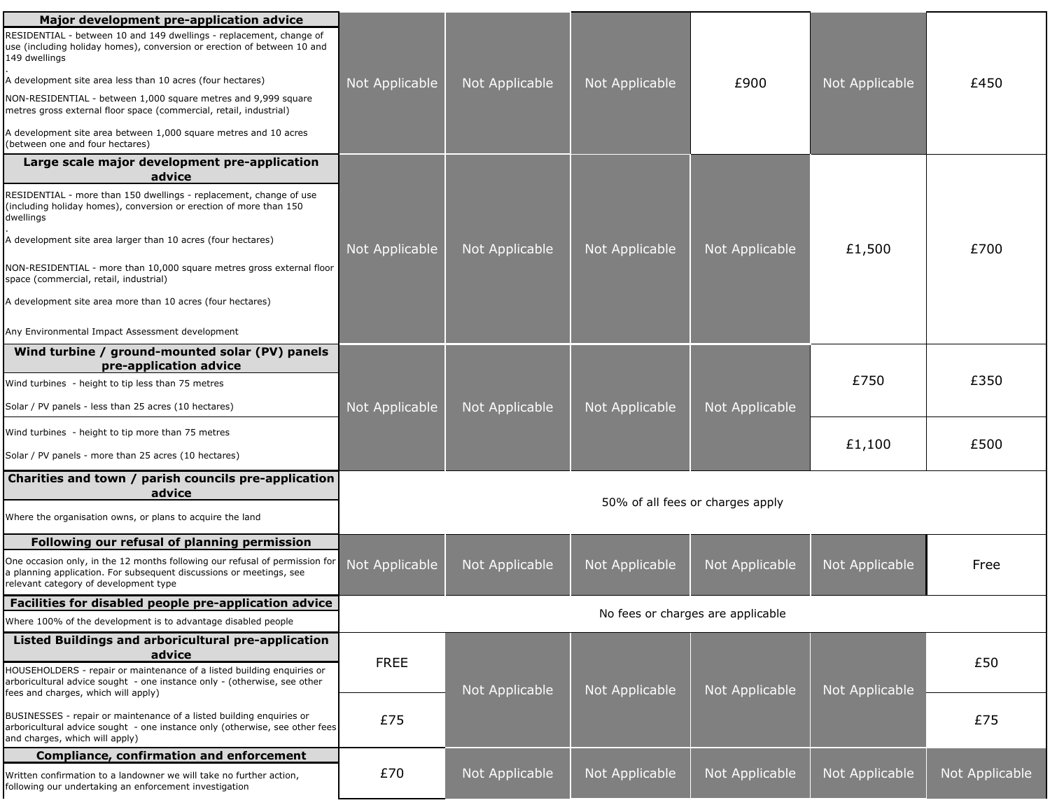| Major development pre-application advice                                                                                                                                                    |                                   |                |                |                |                |                |  |
|---------------------------------------------------------------------------------------------------------------------------------------------------------------------------------------------|-----------------------------------|----------------|----------------|----------------|----------------|----------------|--|
| RESIDENTIAL - between 10 and 149 dwellings - replacement, change of<br>use (including holiday homes), conversion or erection of between 10 and<br>149 dwellings                             |                                   |                |                |                |                |                |  |
| A development site area less than 10 acres (four hectares)                                                                                                                                  | Not Applicable                    | Not Applicable | Not Applicable | £900           | Not Applicable | £450           |  |
| NON-RESIDENTIAL - between 1,000 square metres and 9,999 square<br>metres gross external floor space (commercial, retail, industrial)                                                        |                                   |                |                |                |                |                |  |
| A development site area between 1,000 square metres and 10 acres<br>(between one and four hectares)                                                                                         |                                   |                |                |                |                |                |  |
| Large scale major development pre-application<br>advice                                                                                                                                     |                                   |                |                |                |                |                |  |
| RESIDENTIAL - more than 150 dwellings - replacement, change of use<br>(including holiday homes), conversion or erection of more than 150<br>dwellings                                       |                                   |                |                |                |                |                |  |
| A development site area larger than 10 acres (four hectares)                                                                                                                                | Not Applicable                    | Not Applicable | Not Applicable | Not Applicable | £1,500         | £700           |  |
| NON-RESIDENTIAL - more than 10,000 square metres gross external floor<br>space (commercial, retail, industrial)                                                                             |                                   |                |                |                |                |                |  |
| A development site area more than 10 acres (four hectares)                                                                                                                                  |                                   |                |                |                |                |                |  |
| Any Environmental Impact Assessment development                                                                                                                                             |                                   |                |                |                |                |                |  |
| Wind turbine / ground-mounted solar (PV) panels<br>pre-application advice                                                                                                                   |                                   |                |                |                |                |                |  |
| Wind turbines - height to tip less than 75 metres                                                                                                                                           |                                   |                |                |                | £750           | £350           |  |
| Solar / PV panels - less than 25 acres (10 hectares)                                                                                                                                        | Not Applicable                    | Not Applicable | Not Applicable | Not Applicable |                |                |  |
| Wind turbines - height to tip more than 75 metres                                                                                                                                           |                                   |                |                |                | £1,100         | £500           |  |
| Solar / PV panels - more than 25 acres (10 hectares)                                                                                                                                        |                                   |                |                |                |                |                |  |
| Charities and town / parish councils pre-application<br>advice                                                                                                                              | 50% of all fees or charges apply  |                |                |                |                |                |  |
| Where the organisation owns, or plans to acquire the land                                                                                                                                   |                                   |                |                |                |                |                |  |
| Following our refusal of planning permission                                                                                                                                                |                                   |                |                |                |                |                |  |
| One occasion only, in the 12 months following our refusal of permission for<br>a planning application. For subsequent discussions or meetings, see<br>relevant category of development type | Not Applicable                    | Not Applicable | Not Applicable | Not Applicable | Not Applicable | Free           |  |
| Facilities for disabled people pre-application advice                                                                                                                                       | No fees or charges are applicable |                |                |                |                |                |  |
| Where 100% of the development is to advantage disabled people                                                                                                                               |                                   |                |                |                |                |                |  |
| Listed Buildings and arboricultural pre-application<br>advice                                                                                                                               | <b>FREE</b>                       |                |                |                |                | £50            |  |
| HOUSEHOLDERS - repair or maintenance of a listed building enquiries or<br>arboricultural advice sought - one instance only - (otherwise, see other<br>fees and charges, which will apply)   |                                   | Not Applicable | Not Applicable | Not Applicable | Not Applicable |                |  |
| BUSINESSES - repair or maintenance of a listed building enquiries or<br>arboricultural advice sought - one instance only (otherwise, see other fees<br>and charges, which will apply)       | £75                               |                |                |                |                | £75            |  |
| <b>Compliance, confirmation and enforcement</b>                                                                                                                                             |                                   |                |                |                |                |                |  |
| Written confirmation to a landowner we will take no further action,<br>following our undertaking an enforcement investigation                                                               | £70                               | Not Applicable | Not Applicable | Not Applicable | Not Applicable | Not Applicable |  |